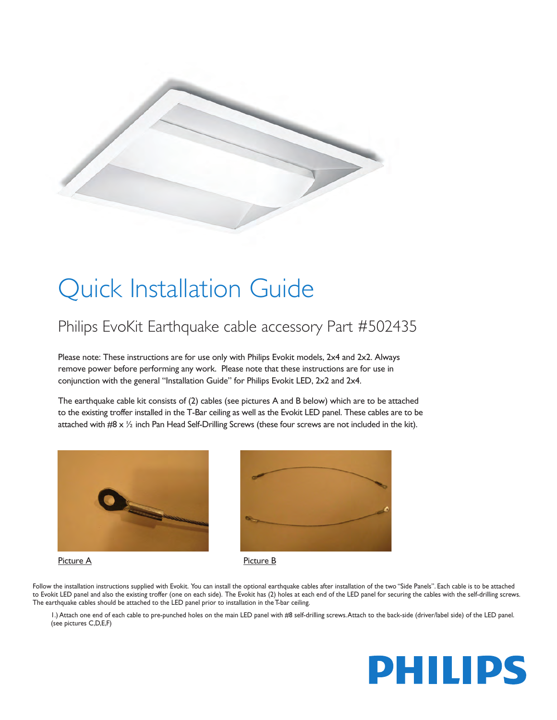

## Quick Installation Guide

## Philips EvoKit Earthquake cable accessory Part #502435

Please note: These instructions are for use only with Philips Evokit models, 2x4 and 2x2. Always remove power before performing any work. Please note that these instructions are for use in conjunction with the general "Installation Guide" for Philips Evokit LED, 2x2 and 2x4.

The earthquake cable kit consists of (2) cables (see pictures A and B below) which are to be attached to the existing troffer installed in the T-Bar ceiling as well as the Evokit LED panel. These cables are to be attached with #8 x ½ inch Pan Head Self-Drilling Screws (these four screws are not included in the kit).





## Picture A Picture B



Follow the installation instructions supplied with Evokit. You can install the optional earthquake cables after installation of the two "Side Panels". Each cable is to be attached to Evokit LED panel and also the existing troffer (one on each side). The Evokit has (2) holes at each end of the LED panel for securing the cables with the self-drilling screws. The earthquake cables should be attached to the LED panel prior to installation in the T-bar ceiling.

1.) Attach one end of each cable to pre-punched holes on the main LED panel with #8 self-drilling screws. Attach to the back-side (driver/label side) of the LED panel. (see pictures C,D,E,F)